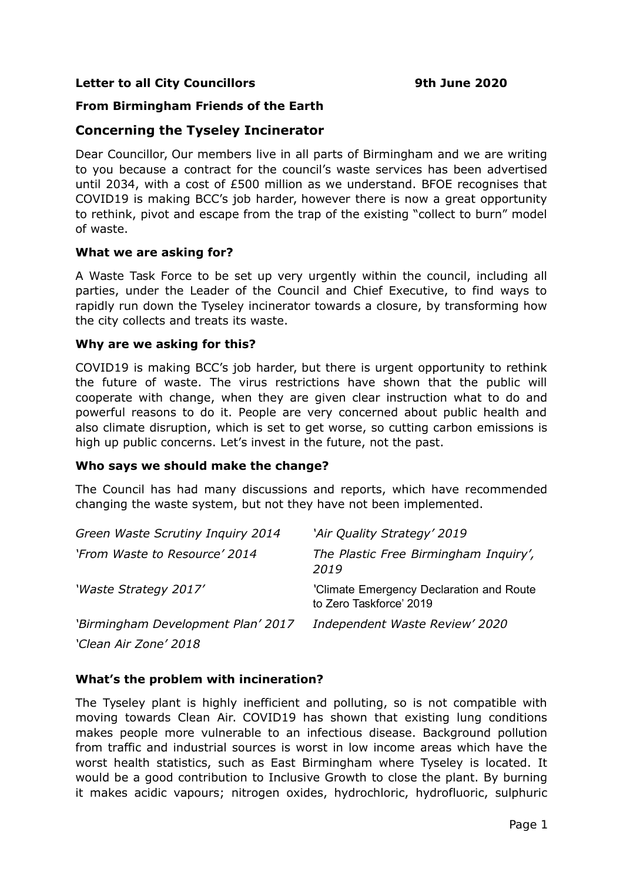### **Letter to all City Councillors 19th June 2020**

# **From Birmingham Friends of the Earth**

# **Concerning the Tyseley Incinerator**

Dear Councillor, Our members live in all parts of Birmingham and we are writing to you because a contract for the council's waste services has been advertised until 2034, with a cost of £500 million as we understand. BFOE recognises that COVID19 is making BCC's job harder, however there is now a great opportunity to rethink, pivot and escape from the trap of the existing "collect to burn" model of waste.

#### **What we are asking for?**

A Waste Task Force to be set up very urgently within the council, including all parties, under the Leader of the Council and Chief Executive, to find ways to rapidly run down the Tyseley incinerator towards a closure, by transforming how the city collects and treats its waste.

#### **Why are we asking for this?**

COVID19 is making BCC's job harder, but there is urgent opportunity to rethink the future of waste. The virus restrictions have shown that the public will cooperate with change, when they are given clear instruction what to do and powerful reasons to do it. People are very concerned about public health and also climate disruption, which is set to get worse, so cutting carbon emissions is high up public concerns. Let's invest in the future, not the past.

#### **Who says we should make the change?**

The Council has had many discussions and reports, which have recommended changing the waste system, but not they have not been implemented.

| Green Waste Scrutiny Inquiry 2014  | 'Air Quality Strategy' 2019                                         |
|------------------------------------|---------------------------------------------------------------------|
| 'From Waste to Resource' 2014      | The Plastic Free Birmingham Inquiry',<br>2019                       |
| 'Waste Strategy 2017'              | 'Climate Emergency Declaration and Route<br>to Zero Taskforce' 2019 |
| 'Birmingham Development Plan' 2017 | Independent Waste Review' 2020                                      |
| 'Clean Air Zone' 2018              |                                                                     |

# **What's the problem with incineration?**

The Tyseley plant is highly inefficient and polluting, so is not compatible with moving towards Clean Air. COVID19 has shown that existing lung conditions makes people more vulnerable to an infectious disease. Background pollution from traffic and industrial sources is worst in low income areas which have the worst health statistics, such as East Birmingham where Tyseley is located. It would be a good contribution to Inclusive Growth to close the plant. By burning it makes acidic vapours; nitrogen oxides, hydrochloric, hydrofluoric, sulphuric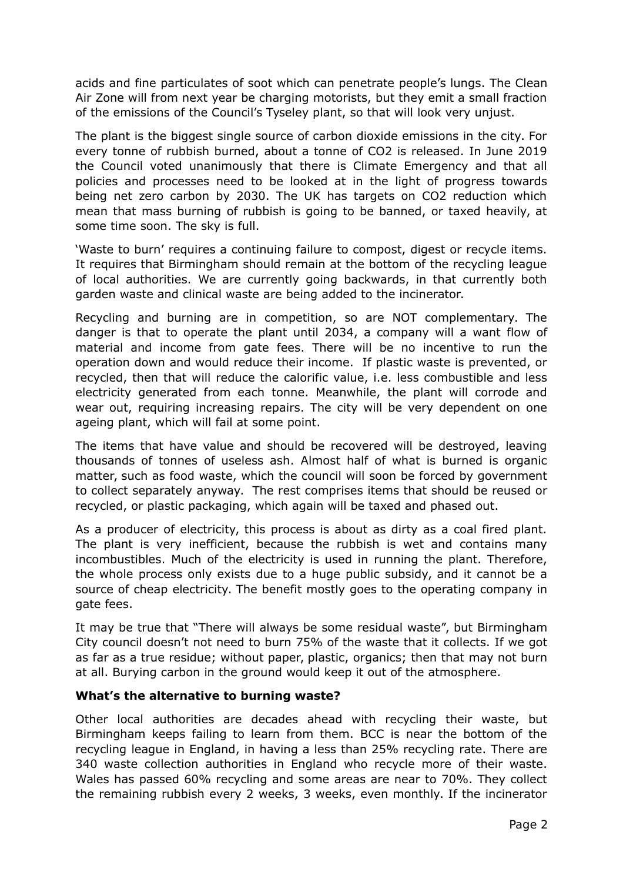acids and fine particulates of soot which can penetrate people's lungs. The Clean Air Zone will from next year be charging motorists, but they emit a small fraction of the emissions of the Council's Tyseley plant, so that will look very unjust.

The plant is the biggest single source of carbon dioxide emissions in the city. For every tonne of rubbish burned, about a tonne of CO2 is released. In June 2019 the Council voted unanimously that there is Climate Emergency and that all policies and processes need to be looked at in the light of progress towards being net zero carbon by 2030. The UK has targets on CO2 reduction which mean that mass burning of rubbish is going to be banned, or taxed heavily, at some time soon. The sky is full.

'Waste to burn' requires a continuing failure to compost, digest or recycle items. It requires that Birmingham should remain at the bottom of the recycling league of local authorities. We are currently going backwards, in that currently both garden waste and clinical waste are being added to the incinerator.

Recycling and burning are in competition, so are NOT complementary. The danger is that to operate the plant until 2034, a company will a want flow of material and income from gate fees. There will be no incentive to run the operation down and would reduce their income. If plastic waste is prevented, or recycled, then that will reduce the calorific value, i.e. less combustible and less electricity generated from each tonne. Meanwhile, the plant will corrode and wear out, requiring increasing repairs. The city will be very dependent on one ageing plant, which will fail at some point.

The items that have value and should be recovered will be destroyed, leaving thousands of tonnes of useless ash. Almost half of what is burned is organic matter, such as food waste, which the council will soon be forced by government to collect separately anyway. The rest comprises items that should be reused or recycled, or plastic packaging, which again will be taxed and phased out.

As a producer of electricity, this process is about as dirty as a coal fired plant. The plant is very inefficient, because the rubbish is wet and contains many incombustibles. Much of the electricity is used in running the plant. Therefore, the whole process only exists due to a huge public subsidy, and it cannot be a source of cheap electricity. The benefit mostly goes to the operating company in gate fees.

It may be true that "There will always be some residual waste", but Birmingham City council doesn't not need to burn 75% of the waste that it collects. If we got as far as a true residue; without paper, plastic, organics; then that may not burn at all. Burying carbon in the ground would keep it out of the atmosphere.

# **What's the alternative to burning waste?**

Other local authorities are decades ahead with recycling their waste, but Birmingham keeps failing to learn from them. BCC is near the bottom of the recycling league in England, in having a less than 25% recycling rate. There are 340 waste collection authorities in England who recycle more of their waste. Wales has passed 60% recycling and some areas are near to 70%. They collect the remaining rubbish every 2 weeks, 3 weeks, even monthly. If the incinerator